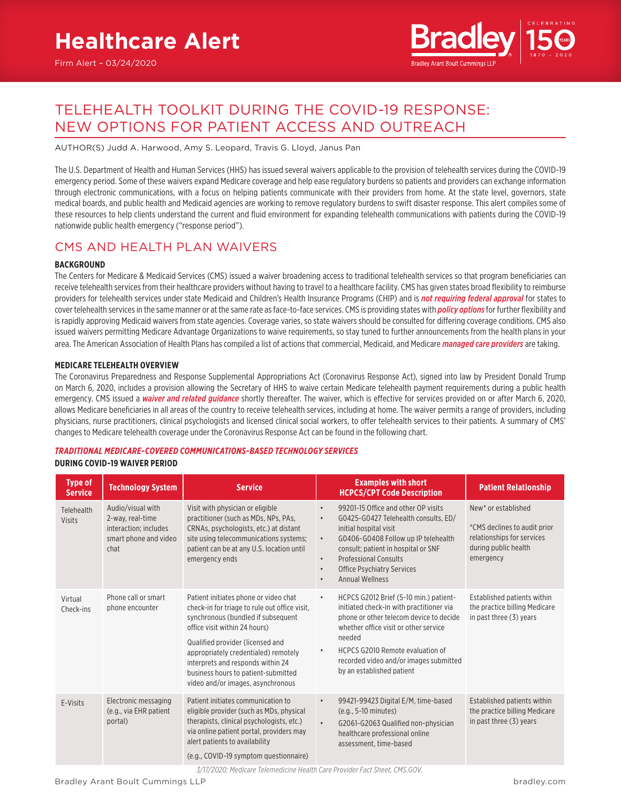

# TELEHEALTH TOOLKIT DURING THE COVID-19 RESPONSE: NEW OPTIONS FOR PATIENT ACCESS AND OUTREACH

AUTHOR(S) Judd A. Harwood, Amy S. Leopard, Travis G. Lloyd, Janus Pan

The U.S. Department of Health and Human Services (HHS) has issued several waivers applicable to the provision of telehealth services during the COVID-19 emergency period. Some of these waivers expand Medicare coverage and help ease regulatory burdens so patients and providers can exchange information through electronic communications, with a focus on helping patients communicate with their providers from home. At the state level, governors, state medical boards, and public health and Medicaid agencies are working to remove regulatory burdens to swift disaster response. This alert compiles some of these resources to help clients understand the current and fluid environment for expanding telehealth communications with patients during the COVID-19 nationwide public health emergency ("response period").

## CMS AND HEALTH PLAN WAIVERS

## **BACKGROUND**

The Centers for Medicare & Medicaid Services (CMS) issued a waiver broadening access to traditional telehealth services so that program beneficiaries can receive telehealth services from their healthcare providers without having to travel to a healthcare facility. CMS has given states broad flexibility to reimburse providers for telehealth services under state Medicaid and Children's Health Insurance Programs (CHIP) and is *[not requiring federal approval](https://www.medicaid.gov/medicaid/benefits/telemedicine/index.html)* for states to cover telehealth services in the same manner or at the same rate as face-to-face services. CMS is providing states with *[policy options](https://www.medicaid.gov/medicaid/benefits/downloads/medicaid-telehealth-services.pdf)* for further flexibility and is rapidly approving Medicaid waivers from state agencies. Coverage varies, so state waivers should be consulted for differing coverage conditions. CMS also issued waivers permitting Medicare Advantage Organizations to waive requirements, so stay tuned to further announcements from the health plans in your area. The American Association of Health Plans has compiled a list of actions that commercial, Medicaid, and Medicare *[managed care providers](https://www.ahip.org/health-insurance-providers-respond-to-coronavirus-covid-19/?mod=article_inline)* are taking.

### **MEDICARE TELEHEALTH OVERVIEW**

The Coronavirus Preparedness and Response Supplemental Appropriations Act (Coronavirus Response Act), signed into law by President Donald Trump on March 6, 2020, includes a provision allowing the Secretary of HHS to waive certain Medicare telehealth payment requirements during a public health emergency. CMS issued a *[waiver and related guidance](https://www.cms.gov/newsroom/fact-sheets/medicare-telemedicine-health-care-provider-fact-sheet)* shortly thereafter. The waiver, which is effective for services provided on or after March 6, 2020, allows Medicare beneficiaries in all areas of the country to receive telehealth services, including at home. The waiver permits a range of providers, including physicians, nurse practitioners, clinical psychologists and licensed clinical social workers, to offer telehealth services to their patients. A summary of CMS' changes to Medicare telehealth coverage under the Coronavirus Response Act can be found in the following chart.

### *TRADITIONAL MEDICARE-COVERED COMMUNICATIONS-BASED TECHNOLOGY SERVICES* **DURING COVID-19 WAIVER PERIOD**

| <b>Type of</b><br><b>Service</b> | <b>Technology System</b>                                                                        | <b>Service</b>                                                                                                                                                                                                                                                                                                                                             | <b>Examples with short</b><br><b>HCPCS/CPT Code Description</b>                                                                                                                                                                                                                                                                                                  | <b>Patient Relationship</b>                                                                                                        |
|----------------------------------|-------------------------------------------------------------------------------------------------|------------------------------------------------------------------------------------------------------------------------------------------------------------------------------------------------------------------------------------------------------------------------------------------------------------------------------------------------------------|------------------------------------------------------------------------------------------------------------------------------------------------------------------------------------------------------------------------------------------------------------------------------------------------------------------------------------------------------------------|------------------------------------------------------------------------------------------------------------------------------------|
| Telehealth<br>Visits             | Audio/visual with<br>2-way, real-time<br>interaction; includes<br>smart phone and video<br>chat | Visit with physician or eligible<br>practitioner (such as MDs, NPs, PAs,<br>CRNAs, psychologists, etc.) at distant<br>site using telecommunications systems;<br>patient can be at any U.S. location until<br>emergency ends                                                                                                                                | 99201-15 Office and other OP visits<br>$\bullet$<br>G0425-G0427 Telehealth consults, ED/<br>$\bullet$<br>initial hospital visit<br>G0406-G0408 Follow up IP telehealth<br>$\bullet$<br>consult; patient in hospital or SNF<br><b>Professional Consults</b><br>$\bullet$<br><b>Office Psychiatry Services</b><br>$\bullet$<br><b>Annual Wellness</b><br>$\bullet$ | New <sup>*</sup> or established<br>*CMS declines to audit prior<br>relationships for services<br>during public health<br>emergency |
| Virtual<br>Check-ins             | Phone call or smart<br>phone encounter                                                          | Patient initiates phone or video chat<br>check-in for triage to rule out office visit,<br>synchronous (bundled if subsequent<br>office visit within 24 hours)<br>Qualified provider (licensed and<br>appropriately credentialed) remotely<br>interprets and responds within 24<br>business hours to patient-submitted<br>video and/or images, asynchronous | HCPCS G2012 Brief (5-10 min.) patient-<br>$\bullet$<br>initiated check-in with practitioner via<br>phone or other telecom device to decide<br>whether office visit or other service<br>needed<br><b>HCPCS G2010 Remote evaluation of</b><br>$\bullet$<br>recorded video and/or images submitted<br>by an established patient                                     | Established patients within<br>the practice billing Medicare<br>in past three (3) years                                            |
| E-Visits                         | Electronic messaging<br>(e.g., via EHR patient<br>portal)                                       | Patient initiates communication to<br>eligible provider (such as MDs, physical<br>therapists, clinical psychologists, etc.)<br>via online patient portal, providers may<br>alert patients to availability<br>(e.g., COVID-19 symptom questionnaire)<br>7/17/2020, Modiazzo Talamodicino Haalth Caro Drovidar Fast Chaot, CMC COU                           | 99421-99423 Digital E/M, time-based<br>$\bullet$<br>(e.g., 5-10 minutes)<br>$\bullet$<br>G2061-G2063 Qualified non-physician<br>healthcare professional online<br>assessment, time-based                                                                                                                                                                         | Established patients within<br>the practice billing Medicare<br>in past three (3) years                                            |

*3/17/2020: Medicare Telemedicine Health Care Provider Fact Sheet, CMS.GOV.*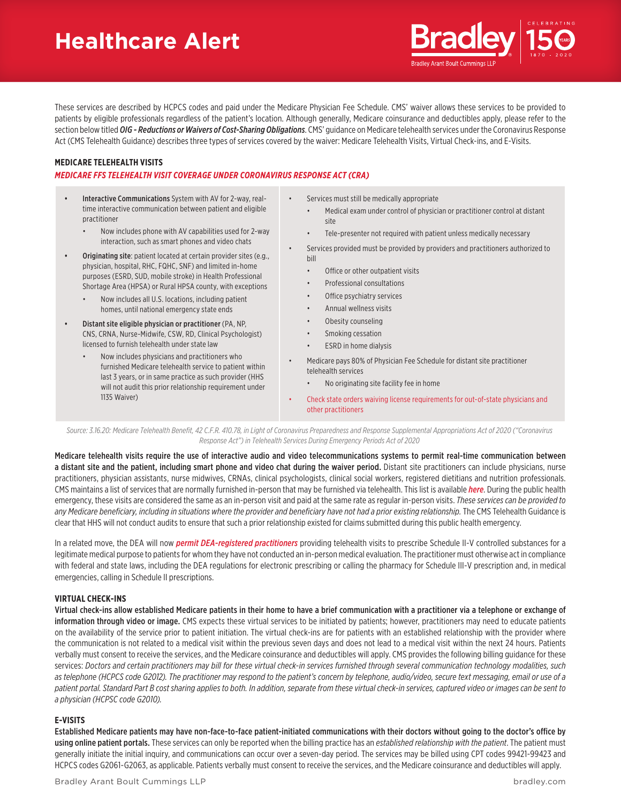# **Healthcare Alert**



These services are described by HCPCS codes and paid under the Medicare Physician Fee Schedule. CMS' waiver allows these services to be provided to patients by eligible professionals regardless of the patient's location. Although generally, Medicare coinsurance and deductibles apply, please refer to the section below titled *OIG - Reductions or Waivers of Cost-Sharing Obligations*. CMS' guidance on Medicare telehealth services under the Coronavirus Response Act (CMS Telehealth Guidance) describes three types of services covered by the waiver: Medicare Telehealth Visits, Virtual Check-ins, and E-Visits.

## **MEDICARE TELEHEALTH VISITS**

## *MEDICARE FFS TELEHEALTH VISIT COVERAGE UNDER CORONAVIRUS RESPONSE ACT (CRA)*

- Interactive Communications System with AV for 2-way, realtime interactive communication between patient and eligible practitioner
	- Now includes phone with AV capabilities used for 2-way interaction, such as smart phones and video chats
- Originating site: patient located at certain provider sites (e.g., physician, hospital, RHC, FQHC, SNF) and limited in-home purposes (ESRD, SUD, mobile stroke) in Health Professional Shortage Area (HPSA) or Rural HPSA county, with exceptions
	- Now includes all U.S. locations, including patient homes, until national emergency state ends
- Distant site eligible physician or practitioner (PA, NP, CNS, CRNA, Nurse-Midwife, CSW, RD, Clinical Psychologist) licensed to furnish telehealth under state law
	- Now includes physicians and practitioners who furnished Medicare telehealth service to patient within last 3 years, or in same practice as such provider (HHS will not audit this prior relationship requirement under 1135 Waiver)
- Services must still be medically appropriate
	- Medical exam under control of physician or practitioner control at distant site
	- Tele-presenter not required with patient unless medically necessary
- Services provided must be provided by providers and practitioners authorized to bill
	- Office or other outpatient visits
	- Professional consultations
	- Office psychiatry services
	- Annual wellness visits
	- Obesity counseling
	- Smoking cessation
	- ESRD in home dialysis

• Medicare pays 80% of Physician Fee Schedule for distant site practitioner telehealth services

• No originating site facility fee in home

• Check state orders waiving license requirements for out-of-state physicians and other practitioners

Source: 3.16.20: Medicare Telehealth Benefit, 42 C.F.R. 410.78, in Light of Coronavirus Preparedness and Response Supplemental Appropriations Act of 2020 ("Coronavirus *Response Act") in Telehealth Services During Emergency Periods Act of 2020*

Medicare telehealth visits require the use of interactive audio and video telecommunications systems to permit real-time communication between a distant site and the patient, including smart phone and video chat during the waiver period. Distant site practitioners can include physicians, nurse practitioners, physician assistants, nurse midwives, CRNAs, clinical psychologists, clinical social workers, registered dietitians and nutrition professionals. CMS maintains a list of services that are normally furnished in-person that may be furnished via telehealth. This list is available *[here](https://www.cms.gov/Medicare/Medicare-General-Information/Telehealth/Telehealth-Codes)*. During the public health emergency, these visits are considered the same as an in-person visit and paid at the same rate as regular in-person visits. *These services can be provided to any Medicare beneficiary, including in situations where the provider and beneficiary have not had a prior existing relationship.* The CMS Telehealth Guidance is clear that HHS will not conduct audits to ensure that such a prior relationship existed for claims submitted during this public health emergency.

In a related move, the DEA will now *[permit DEA-registered practitioners](https://www.deadiversion.usdoj.gov/coronavirus.html)* providing telehealth visits to prescribe Schedule II-V controlled substances for a legitimate medical purpose to patients for whom they have not conducted an in-person medical evaluation. The practitioner must otherwise act in compliance with federal and state laws, including the DEA regulations for electronic prescribing or calling the pharmacy for Schedule III-V prescription and, in medical emergencies, calling in Schedule II prescriptions.

### **VIRTUAL CHECK-INS**

Virtual check-ins allow established Medicare patients in their home to have a brief communication with a practitioner via a telephone or exchange of information through video or image. CMS expects these virtual services to be initiated by patients; however, practitioners may need to educate patients on the availability of the service prior to patient initiation. The virtual check-ins are for patients with an established relationship with the provider where the communication is not related to a medical visit within the previous seven days and does not lead to a medical visit within the next 24 hours. Patients verbally must consent to receive the services, and the Medicare coinsurance and deductibles will apply. CMS provides the following billing guidance for these services: *Doctors and certain practitioners may bill for these virtual check-in services furnished through several communication technology modalities, such as telephone (HCPCS code G2012). The practitioner may respond to the patient's concern by telephone, audio/video, secure text messaging, email or use of a patient portal. Standard Part B cost sharing applies to both. In addition, separate from these virtual check-in services, captured video or images can be sent to a physician (HCPSC code G2010).*

## **E-VISITS**

Established Medicare patients may have non-face-to-face patient-initiated communications with their doctors without going to the doctor's office by using online patient portals. These services can only be reported when the billing practice has an *established relationship with the patient*. The patient must generally initiate the initial inquiry, and communications can occur over a seven-day period. The services may be billed using CPT codes 99421-99423 and HCPCS codes G2061-G2063, as applicable. Patients verbally must consent to receive the services, and the Medicare coinsurance and deductibles will apply.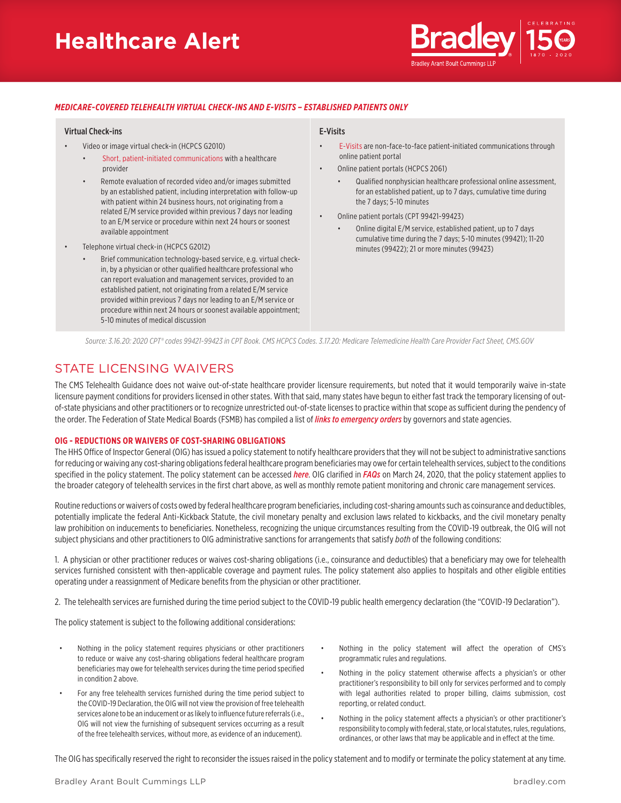# **Healthcare Alert**



## *MEDICARE-COVERED TELEHEALTH VIRTUAL CHECK-INS AND E-VISITS – ESTABLISHED PATIENTS ONLY*

#### Virtual Check-ins

- Video or image virtual check-in (HCPCS G2010)
	- [Short, patient-initiated communications](https://www.cms.gov/newsroom/fact-sheets/medicare-telemedicine-health-care-provider-fact-sheet) with a healthcare provider
	- Remote evaluation of recorded video and/or images submitted by an established patient, including interpretation with follow-up with patient within 24 business hours, not originating from a related E/M service provided within previous 7 days nor leading to an E/M service or procedure within next 24 hours or soonest available appointment
- Telephone virtual check-in (HCPCS G2012)
	- Brief communication technology-based service, e.g. virtual checkin, by a physician or other qualified healthcare professional who can report evaluation and management services, provided to an established patient, not originating from a related E/M service provided within previous 7 days nor leading to an E/M service or procedure within next 24 hours or soonest available appointment; 5-10 minutes of medical discussion

#### E-Visits

- [E-Visits](https://www.cms.gov/newsroom/fact-sheets/medicare-telemedicine-health-care-provider-fact-sheet) are non-face-to-face patient-initiated communications through online patient portal
- Online patient portals (HCPCS 2061)
	- Qualified nonphysician healthcare professional online assessment, for an established patient, up to 7 days, cumulative time during the 7 days; 5-10 minutes
- Online patient portals (CPT 99421-99423)
	- Online digital E/M service, established patient, up to 7 days cumulative time during the 7 days; 5-10 minutes (99421); 11-20 minutes (99422); 21 or more minutes (99423)

*Source: 3.16.20: 2020 CPT® codes 99421-99423 in CPT Book. CMS HCPCS Codes. 3.17.20: Medicare Telemedicine Health Care Provider Fact Sheet, CMS.GOV*

# STATE LICENSING WAIVERS

The CMS Telehealth Guidance does not waive out-of-state healthcare provider licensure requirements, but noted that it would temporarily waive in-state licensure payment conditions for providers licensed in other states. With that said, many states have begun to either fast track the temporary licensing of outof-state physicians and other practitioners or to recognize unrestricted out-of-state licenses to practice within that scope as sufficient during the pendency of the order. The Federation of State Medical Boards (FSMB) has compiled a list of *[links to emergency orders](https://www.fsmb.org/siteassets/advocacy/pdf/state-emergency-declaration-licensures-requirements-covid-19.pdf)* by governors and state agencies.

## **OIG - REDUCTIONS OR WAIVERS OF COST-SHARING OBLIGATIONS**

The HHS Office of Inspector General (OIG) has issued a policy statement to notify healthcare providers that they will not be subject to administrative sanctions for reducing or waiving any cost-sharing obligations federal healthcare program beneficiaries may owe for certain telehealth services, subject to the conditions specified in the policy statement. The policy statement can be accessed *[here](https://oig.hhs.gov/fraud/docs/alertsandbulletins/2020/policy-telehealth-2020.pdf)*. OIG clarified in *[FAQs](https://oig.hhs.gov/fraud/docs/alertsandbulletins/2020/telehealth-waiver-faq-2020.pdf)* on March 24, 2020, that the policy statement applies to the broader category of telehealth services in the first chart above, as well as monthly remote patient monitoring and chronic care management services.

Routine reductions or waivers of costs owed by federal healthcare program beneficiaries, including cost-sharing amounts such as coinsurance and deductibles, potentially implicate the federal Anti-Kickback Statute, the civil monetary penalty and exclusion laws related to kickbacks, and the civil monetary penalty law prohibition on inducements to beneficiaries. Nonetheless, recognizing the unique circumstances resulting from the COVID-19 outbreak, the OIG will not subject physicians and other practitioners to OIG administrative sanctions for arrangements that satisfy *both* of the following conditions:

1. A physician or other practitioner reduces or waives cost-sharing obligations (i.e., coinsurance and deductibles) that a beneficiary may owe for telehealth services furnished consistent with then-applicable coverage and payment rules. The policy statement also applies to hospitals and other eligible entities operating under a reassignment of Medicare benefits from the physician or other practitioner.

2. The telehealth services are furnished during the time period subject to the COVID-19 public health emergency declaration (the "COVID-19 Declaration").

The policy statement is subject to the following additional considerations:

- Nothing in the policy statement requires physicians or other practitioners to reduce or waive any cost-sharing obligations federal healthcare program beneficiaries may owe for telehealth services during the time period specified in condition 2 above.
- For any free telehealth services furnished during the time period subject to the COVID-19 Declaration, the OIG will not view the provision of free telehealth services alone to be an inducement or as likely to influence future referrals (i.e., OIG will not view the furnishing of subsequent services occurring as a result of the free telehealth services, without more, as evidence of an inducement).
- Nothing in the policy statement will affect the operation of CMS's programmatic rules and regulations.
- Nothing in the policy statement otherwise affects a physician's or other practitioner's responsibility to bill only for services performed and to comply with legal authorities related to proper billing, claims submission, cost reporting, or related conduct.
- Nothing in the policy statement affects a physician's or other practitioner's responsibility to comply with federal, state, or local statutes, rules, regulations, ordinances, or other laws that may be applicable and in effect at the time.

The OIG has specifically reserved the right to reconsider the issues raised in the policy statement and to modify or terminate the policy statement at any time.